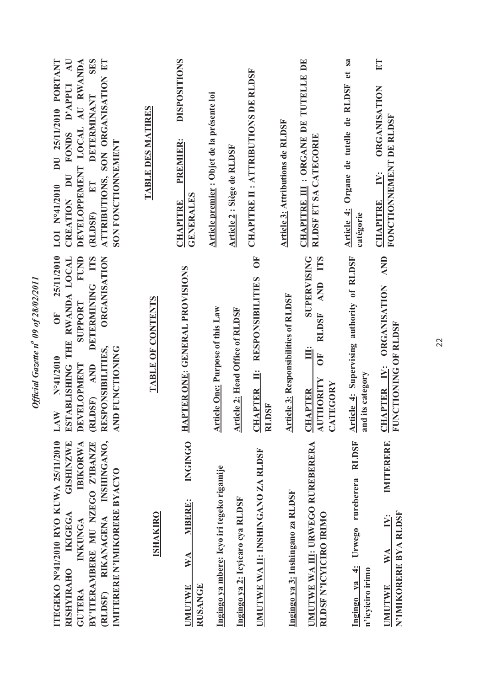| $\overline{A}$ U<br>DU 25/11/2010 PORTANT<br><b>SERS</b><br>ATTRIBUTIONS, SON ORGANISATION ET<br>DEVELOPPEMENT LOCAL AU RWANDA<br>FONDS D'APPUI<br><b>DETERMINANT</b><br>SON FONCTIONNEMENT<br><b>CREATION DU</b><br>(RLDSF) ET<br>LOI Nº41/2010 | TABLE DES MATIRES | <b>DISPOSITIONS</b><br>PREMIER:<br><b>GENERALES</b><br><b>CHAPITRE</b>   | Article premier : Objet de la présente loi | Article 2 : Siège de RLDSF       | <b>CHAPITRE II: ATTRIBUTIONS DE RLDSF</b>                           | Article 3: Attributions de RLDSF            | CHAPITRE III : ORGANE DE TUTELLE DE<br>RLDSF ET SA CATEGORIE                                           | Organe de tutelle de RLDSF et sa<br>Article 4:<br>catégorie   | E<br><b>ORGANISATION</b><br>FONCTIONNEMENT DE RLDSF<br>IV:<br><b>CHAPITRE</b>         |
|--------------------------------------------------------------------------------------------------------------------------------------------------------------------------------------------------------------------------------------------------|-------------------|--------------------------------------------------------------------------|--------------------------------------------|----------------------------------|---------------------------------------------------------------------|---------------------------------------------|--------------------------------------------------------------------------------------------------------|---------------------------------------------------------------|---------------------------------------------------------------------------------------|
| 25/11/2010<br>FUND<br>DETERMINING ITS<br><b>ORGANISATION</b><br>ESTABLISHING THE RWANDA LOCAL<br><b>SUPPORT</b><br><b>FO</b><br>RESPONSIBILITIES,<br>AND FUNCTIONING<br>N°41/2010<br><b>DEVELOPMENT</b><br>AND<br>(RLDSF)<br>LAW                 | TABLE OF CONTENTS | HAPTER ONE: GENERAL PROVISIONS                                           | <b>Article One: Purpose of this Law</b>    | Article 2: Head Office of RLDSF  | UF<br><b>RESPONSIBILITIES</b><br><b>CHAPTER II:</b><br><b>RLDSF</b> | <b>Article 3: Responsibilities of RLDSF</b> | <b>SUPERVISING</b><br>RLDSF AND ITS<br>Ë<br>5<br>AUTHORITY<br>TEGORY<br><b>CHAPTER</b><br>$\mathbf{S}$ | Article 4: Supervising authority of RLDSF<br>and its category | AND<br><b>ORGANISATION</b><br>FUNCTIONING OF RLDSF<br><b>CHAPTER IV:</b>              |
| RIKANAGENA INSHINGANO,<br>ITEGEKO N°41/2010 RYO KUWA 25/11/2010<br><b>GISHINZWE</b><br>BY'ITERAMBERE MU NZEGO Z'IBANZE<br><b>IBIKORWA</b><br>IMITERERE N'IMIKORERE BYACYO<br>IKIGEGA<br>INKUNGA<br><b>RISHYIRAHO</b><br>(RLDSF)<br>GUTERA        | <b>ISHAKIRO</b>   | <b>INGINGO</b><br><b>MBERE:</b><br>WA<br><b>RUSANGE</b><br><b>UMUTWE</b> | Ingingo ya mbere: Icyo iri tegeko rigamije | Ingingo ya 2: Icyicaro cya RLDSF | UMUTWE WA II: INSHINGANO ZA RLDSF                                   | Ingingo ya 3: Inshingano za RLDSF           | UMUTWE WA III: URWEGO RUREBERERA<br>RLDSF N'ICYICIRO IRIMO                                             | Urwego rureberera RLDSF<br>Ingingo ya 4:<br>n'icyiciro irimo  | IMITERERE<br>N'IMIKORERE BYA RLDSF<br>IV:<br>$\mathbb{W} \mathbb{A}$<br><b>UMUTWE</b> |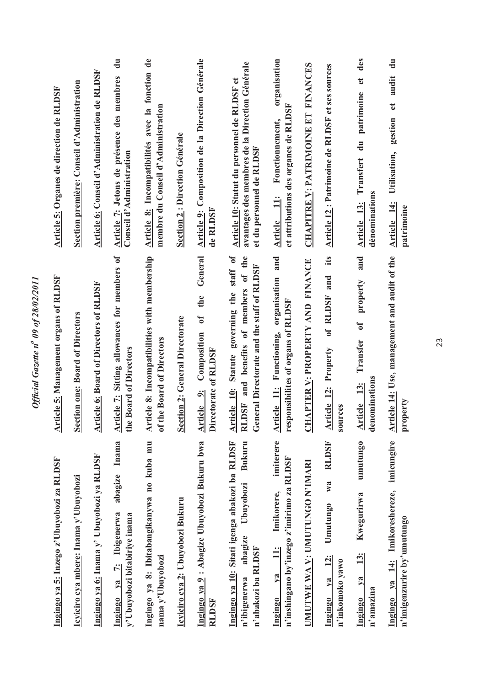| Ingingo ya 5: Inzego z'Ubuyobozi za RLDSF                                                                             | <b>Article 5: Management organs of RLDSF</b>                                                                                                     | Article 5: Organes de direction de RLDSF                                                                                  |
|-----------------------------------------------------------------------------------------------------------------------|--------------------------------------------------------------------------------------------------------------------------------------------------|---------------------------------------------------------------------------------------------------------------------------|
| Icyiciro cya mbere: Inama y'Ubuyobozi                                                                                 | Section one: Board of Directors                                                                                                                  | Section première: Conseil d'Administration                                                                                |
| Ingingo ya 6: Inama y' Ubuyobozi ya RLDSF                                                                             | <b>Article 6: Board of Directors of RLDSF</b>                                                                                                    | Article 6: Conseil d'Administration de RLDSF                                                                              |
| <b>Inama</b><br>abagize<br>Ingingo ya 7: Ibigenerwa<br>y'Ubuyobozi bitabiriye inama                                   | Article 7: Sitting allowances for members of<br>the Board of Directors                                                                           | $\mathbf{d}$ u<br>Article 7: Jetons de présence des membres<br>Conseil d'Administration                                   |
| Ingingo ya 8: Ibitabangikanywa no kuba mu<br>nama y'Ubuyobozi                                                         | Article 8: Incompatibilities with membership<br>of the Board of Directors                                                                        | Article 8: Incompatibilités avec la fonction de<br>membre du Conseil d'Administration                                     |
| Icyiciro cya 2: Ubuyobozi Bukuru                                                                                      | <b>Section 2: General Directorate</b>                                                                                                            | Section 2: Direction Générale                                                                                             |
| Ingingo ya 9 : Abagize Ubuyobozi Bukuru bwa<br><b>RLDSF</b>                                                           | General<br>the<br>$\sigma$<br>Composition<br>Directorate of RLDSF<br>Article 9:                                                                  | Article 9: Composition de la Direction Générale<br>de RLDSF                                                               |
| Ingingo ya 10: Sitati igenga abakozi ba RLDSF<br>Bukuru<br>Ubuyobozi<br>abagize<br>n'abakozi ba RLDSF<br>n'ibigenerwa | staff of<br>and benefits of members of the<br>General Directorate and the staff of RLDSF<br>Statute governing the<br>Article 10:<br><b>RLDSF</b> | avantages des membres de la Direction Générale<br>Article 10: Statut du personnel de RLDSF et<br>et du personnel de RLDSF |
| imiterere<br>n'inshingano by'inzego z'imirimo za RLDSF<br>Imikorere,<br>$\ddot{=}$<br>$1$<br>Ingingo                  | Article 11: Functioning, organisation and<br>responsibilites of organs of RLDSF                                                                  | organisation<br>et attributions des organes de RLDSF<br>Fonctionnement,<br>Article 11:                                    |
| UMUTWE WA V: UMUTUNGO N'IMARI                                                                                         | CHAPTER V: PROPERTY AND FINANCE                                                                                                                  | CHAPITRE V: PATRIMOINE ET FINANCES                                                                                        |
| <b>RLDSF</b><br>W <sub>a</sub><br>Umutungo<br>$\frac{12}{3}$<br>n'inkomoko yawo<br>$va$<br>Ingingo                    | its<br>and<br>of RLDSF<br><b>Article 12: Property</b><br>sources                                                                                 | Article 12: Patrimoine de RLDSF et ses sources                                                                            |
| umutungo<br>Kwegurirwa<br><u>13:</u><br>$\sqrt{a}$<br>n'amazina<br>Ingingo                                            | and<br>property<br>$\mathfrak{o}\mathfrak{f}$<br>Transfer<br>denominations<br>13:<br><b>Article</b>                                              | des<br>$\mathbf{d}$<br>du patrimoine<br>Article 13: Transfert<br>dénominations                                            |
| imicungire<br>Ingingo ya 14: Imikoreshereze,<br>n'imigenzurire by'umutungo                                            | Article 14: Use, management and audit of the<br>property                                                                                         | $\frac{1}{2}$<br>audit<br>gestion et<br>Utilisation,<br>Article 14:<br>patrimoine                                         |

Official Gazette nº 09 of 28/02/2011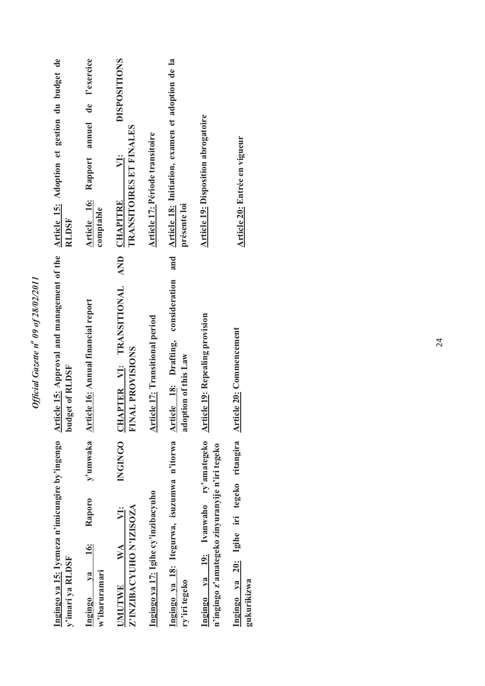| y'imari ya RLDSF                                                                        | <b>budget of RLDSF</b>                                                | Ingingo ya 15: Iyemeza n'imicungire by'ingengo Article 15: Approval and management of the Article 15: Adoption et gestion du budget de<br><b>RLDSF</b> |
|-----------------------------------------------------------------------------------------|-----------------------------------------------------------------------|--------------------------------------------------------------------------------------------------------------------------------------------------------|
| Raporo<br><b>16:</b><br>$1$<br>$w$ 'ibaruramari<br>Ingingo                              | y'umwaka Article 16: Annual financial report                          | annuel de l'exercice<br>Article 16: Rapport<br>comptable                                                                                               |
| Z'INZIBACYUHO N'IZISOZA<br>V:<br>UMUTWE WA                                              | INGINGO CHAPTER VI: TRANSITIONAL AND<br><b>FINAL PROVISIONS</b>       | <b>DISPOSITIONS</b><br><b>TRANSITOIRES ET FINALES</b><br>VI:<br><b>CHAPITRE</b>                                                                        |
| Ingingo ya 17: Igihe cy'inzibacyuho                                                     | Article 17: Transitional period                                       | Article 17: Période transitoire                                                                                                                        |
| Ingingo ya 18: Itegurwa, isuzumwa n'itorwa<br>ry'iri tegeko                             | and<br>consideration<br>Article 18: Drafting,<br>adoption of this Law | Article 18: Initiation, examen et adoption de la<br>présente loi                                                                                       |
| Ingingo ya 19: Ivanwaho ry'amategeko<br>n'ingingo z'amategeko zinyuranyije n'iri tegeko | <b>Article 19: Repealing provision</b>                                | <b>Article 19: Disposition abrogatoire</b>                                                                                                             |
| Ingingo ya 20: Igihe iri tegeko ritangira Article 20: Commencement<br>gukurikizwa       |                                                                       | Article 20: Entrée en vigueur                                                                                                                          |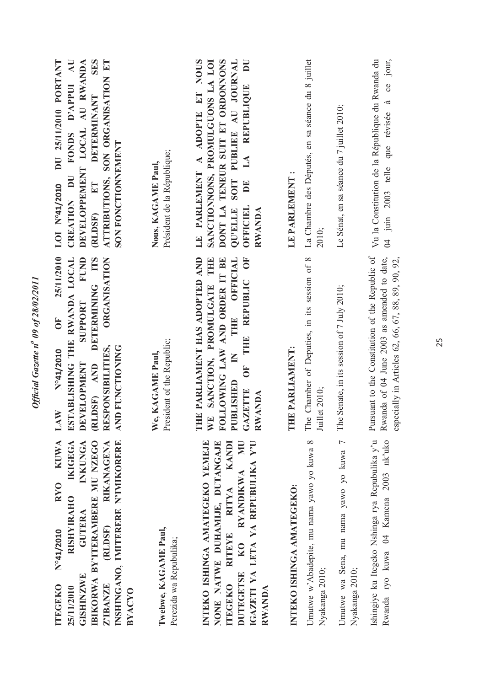| DU 25/11/2010 PORTANT<br>SES<br>ATTRIBUTIONS, SON ORGANISATION ET<br>$\overline{A}$ U<br>DEVELOPPEMENT LOCAL AU RWANDA<br>FONDS D'APPUI<br><b>DETERMINANT</b><br>SON FONCTIONNEMENT<br><b>CREATION DU</b><br>LOI Nº41/2010<br>ET<br>(RLDSF)<br>25/11/2010<br>ESTABLISHING THE RWANDA LOCAL<br>FUND<br><b>DETERMINING ITS</b><br>ORGANISATION<br>SUPPORT<br>UF <sub>1</sub> | Président de la République;<br>Nous, KAGAME Paul, | $\mathbf{U}$<br>LE PARLEMENT A ADOPTE ET NOUS<br>DONT LA TENEUR SUIT ET ORDONNONS<br>SOIT PUBLIEE AU JOURNAL<br>SANCTIONNONS, PROMULGUONS LA LOI<br>LA REPUBLIQUE<br>$\mathbf{E}$<br>QU'ELLE<br>OFFICIEL<br>RWANDA<br>THE PARLIAMENT HAS ADOPTED AND<br>THE OFFICIAL<br>THE REPUBLIC OF<br>WE SANCTION, PROMULGATE THE<br>FOLLOWING LAW AND ORDER IT BE | LE PARLEMENT:             | La Chambre des Députés, en sa séance du 8 juillet<br>2010;<br>The Chamber of Deputies, in its session of 8 | Le Sénat, en sa séance du 7 juillet 2010;                | Vu la Constitution de la République du Rwanda du<br>04 juin 2003 telle que révisée à ce jour,<br>Pursuant to the Constitution of the Republic of<br>Rwanda of 04 June 2003 as amended to date,<br>especially in Articles 62, 66, 67, 88, 89, 90, 92, |
|----------------------------------------------------------------------------------------------------------------------------------------------------------------------------------------------------------------------------------------------------------------------------------------------------------------------------------------------------------------------------|---------------------------------------------------|---------------------------------------------------------------------------------------------------------------------------------------------------------------------------------------------------------------------------------------------------------------------------------------------------------------------------------------------------------|---------------------------|------------------------------------------------------------------------------------------------------------|----------------------------------------------------------|------------------------------------------------------------------------------------------------------------------------------------------------------------------------------------------------------------------------------------------------------|
| RESPONSIBILITIES,<br>AND FUNCTIONING<br>N°41/2010<br><b>DEVELOPMENT</b><br>(RLDSF) AND<br>LAW                                                                                                                                                                                                                                                                              | President of the Republic;<br>We, KAGAME Paul,    | $\mathsf{K}$<br>OF<br>O<br><b>JBLISHED</b><br><b>GAZETTE</b><br><b>RWANDA</b><br>$\overline{P}$                                                                                                                                                                                                                                                         | THE PARLIAMENT:           | Juillet 2010;                                                                                              | The Senate, in its session of 7 July 2010;               |                                                                                                                                                                                                                                                      |
| <b>KUWA</b><br><b>IKIGEGA</b><br>IBIKORWA BY'ITERAMBERE MU NZEGO<br>INSHINGANO, IMITERERE N'IMIKORERE<br>INKUNGA<br>RIKANAGENA<br><b>RYO</b><br><b>RISHYIRAHO</b><br>GUTERA<br><b>(RLDSF)</b><br>N°41/2010<br>GISHINZWE<br>Z'IBANZE<br><b>ITEGEKO</b><br>25/11/2010<br><b>BYACYO</b>                                                                                       | Twebwe, KAGAME Paul,<br>Perezida wa Repubulika;   | INTEKO ISHINGA AMATEGEKO YEMEJE<br>NONE NATWE DUHAMIJE, DUTANGAJE<br>KANDI<br>NU<br>IGAZETI YA LETA YA REPUBULIKA Y'U<br><b>RYANDIKWA</b><br><b>RITYA</b><br><b>RITEYE</b><br>KO<br><b>DUTEGETSE</b><br><b>ITEGEKO</b><br>RWANDA                                                                                                                        | INTEKO ISHINGA AMATEGEKO: | Umutwe w'Abadepite, mu nama yawo yo kuwa 8<br>Nyakanga 2010;                                               | Umutwe wa Sena, mu nama yawo yo kuwa 7<br>Nyakanga 2010; | Ishingiye ku Itegeko Nshinga rya Repubulika y'u<br>Rwanda ryo kuwa 04 Kamena 2003 nk'uko                                                                                                                                                             |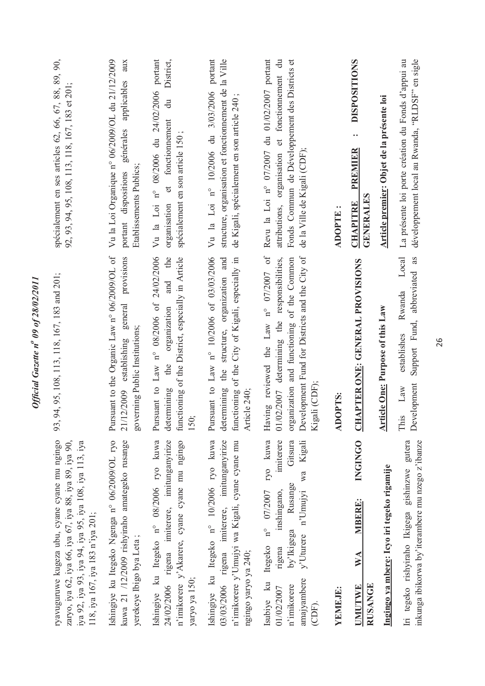| ryavuguruwe kugeza ubu, cyane cyane mu ngingo<br>zaryo, iya 62, iya 66, iya 67, iya 88, iya 89, iya 90,<br>iya 92, iya 93, iya 94, iya 95, iya 108, iya 113, iya<br>118, iya 167, iya 183 n'iya 201;               | 93, 94, 95, 108, 113, 118, 167, 183 and 201;                                                                                                                                                           | spécialement en ses articles 62, 66, 67, 88, 89, 90,<br>92, 93, 94, 95, 108, 113, 118, 167, 183 et 201;                                                                                      |
|--------------------------------------------------------------------------------------------------------------------------------------------------------------------------------------------------------------------|--------------------------------------------------------------------------------------------------------------------------------------------------------------------------------------------------------|----------------------------------------------------------------------------------------------------------------------------------------------------------------------------------------------|
| Ishingiye ku Itegeko Ngenga n° 06/2009/OL ryo<br>kuwa 21 /12/2009 rishyiraho amategeko rusange<br>yerekeye Ibigo bya Leta;                                                                                         | Pursuant to the Organic Law n° 06/2009/OL of<br>general provisions<br>governing Public Institutions;<br>establishing<br>21/12/2009                                                                     | Vu la Loi Organique nº 06/2009/OL du 21/12/2009<br>aux<br>générales applicables<br>Etablissements Publics;<br>portant dispositions                                                           |
| Ishingiye ku Itegeko nº 08/2006 ryo kuwa<br>24/02/2006 rigena imiterere, imitunganyirize<br>n'imikorere y'Akarere, cyane cyane mu ngingo<br>yaryo ya 150;                                                          | Pursuant to Law n° 08/2006 of 24/02/2006<br>the<br>functioning of the District, especially in Article<br>and<br>organization<br>the<br>determining<br>150;                                             | n° 08/2006 du 24/02/2006 portant<br>District,<br>$\ddot{a}$<br>fonctionnement<br>spécialement en son article 150;<br>$\sigma$<br>Vu la Loi<br>organisation                                   |
| 03/03/2006 rigena imiterere, imitunganyirize<br>Ishingiye ku Itegeko n° 10/2006 ryo kuwa<br>n'imikorere y'Umujyi wa Kigali, cyane cyane mu<br>ngingo yaryo ya 240;                                                 | Pursuant to Law n° 10/2006 of 03/03/2006<br>structure, organization and<br>functioning of the City of Kigali, especially in<br>determining the<br>Article 240;                                         | Vu la Loi nº 10/2006 du 3/03/2006 portant<br>structure, organisation et fonctionnement de la Ville<br>de Kigali, spécialement en son article 240 ;                                           |
| ryo kuwa<br>imiterere<br>Kigali<br>Gitsura<br>Wa<br>Rusange<br>Itegeko nº 07/2007<br>y'Uturere n'Umujyi<br>inshingano,<br>by'Ikigega<br>rigena<br>amajyambere<br>Isubive ku<br>n'imikorere<br>01/02/2007<br>(CDF). | Having reviewed the Law n° 07/2007 of<br>Development Fund for Districts and the City of<br>organization and functioning of the Common<br>01/02/2007 determining the responsibilities,<br>Kigali (CDF); | Revu la Loi nº 07/2007 du 01/02/2007 portant<br>Fonds Commun de Développement des Districts et<br>$\ddot{=}$<br>attributions, organisation et fonctionnement<br>de la Ville de Kigali (CDF); |
| YEMEJE:                                                                                                                                                                                                            | <b>ADOPTS:</b>                                                                                                                                                                                         | ADOPTE:                                                                                                                                                                                      |
| <b>INGINGO</b><br><b>MBERE:</b><br>WA<br><b>RUSANGE</b><br><b>UMUTWE</b>                                                                                                                                           | <b>CHAPTER ONE: GENERAL PROVISIONS</b>                                                                                                                                                                 | <b>DISPOSITIONS</b><br>$\bullet\; \bullet$<br><b>PREMIER</b><br><b>GENERALES</b><br><b>CHAPITRE</b>                                                                                          |
| Ingingo ya mbere: Icyo iri tegeko rigamije                                                                                                                                                                         | Article One: Purpose of this Law                                                                                                                                                                       | Article premier: Objet de la présente loi                                                                                                                                                    |
| Iri tegeko rishyiraho Ikigega gishinzwe gutera<br>inkunga ibikorwa by'iterambere mu nzego z'ibanze                                                                                                                 | Support Fund, abbreviated as<br>Local<br>Rwanda<br>establishes<br>Development<br>Law<br>This                                                                                                           | développement local au Rwanda, "RLDSF" en sigle<br>La présente loi porte création du Fonds d'appui au                                                                                        |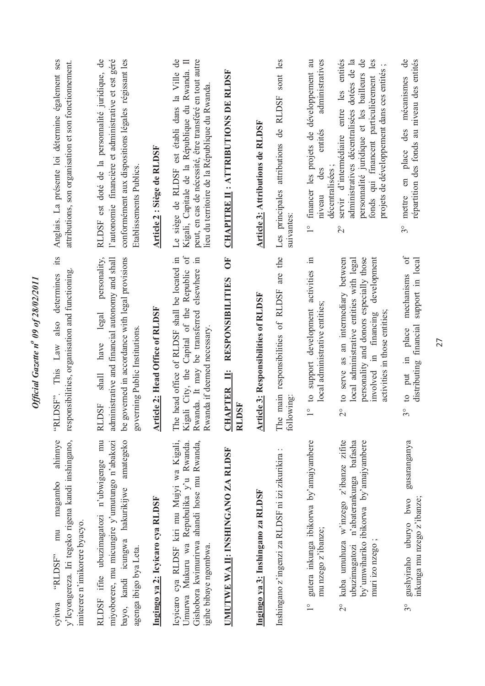| Anglais. La présente loi détermine également ses<br>attributions, son organisation et son fonctionnement.<br>it's                    | RLDSF est doté de la personnalité juridique, de<br>l'autonomie financière et administrative et est géré<br>conformément aux dispositions légales régissant les<br>Etablissements Publics<br>personality, | Article 2 : Siège de RLDSF       | Le siège de RLDSF est établi dans la Ville de<br>peut, en cas de nécessité, être transféré en tout autre<br>Kigali, Capitale de la République du Rwanda. Il<br>lieu du territoire de la République du Rwanda<br>$\equiv$ | <b>CHAPITRE II : ATTRIBUTIONS DE RLDSF</b><br>Ŏ                           | Article 3: Attributions de RLDSF            | Les principales attributions de RLDSF sont les<br>suivantes: | administratives<br>financer les projets de développement au<br>entités<br>décentralisées;<br>des<br>niveau<br>$\frac{1}{1}$<br>$\Xi$ | personnalité juridique et les bailleurs de<br>servir d'intermédiaire entre les entités<br>administratives décentralisées dotées de la<br>fonds qui financent particulièrement les<br>projets de développement dans ces entités;<br>$\overline{2}^{\circ}$<br>development | mécanismes de<br>répartition des fonds au niveau des entités<br>en place des<br>mettre<br>$3^{\circ}$<br>$0f$      |
|--------------------------------------------------------------------------------------------------------------------------------------|----------------------------------------------------------------------------------------------------------------------------------------------------------------------------------------------------------|----------------------------------|--------------------------------------------------------------------------------------------------------------------------------------------------------------------------------------------------------------------------|---------------------------------------------------------------------------|---------------------------------------------|--------------------------------------------------------------|--------------------------------------------------------------------------------------------------------------------------------------|--------------------------------------------------------------------------------------------------------------------------------------------------------------------------------------------------------------------------------------------------------------------------|--------------------------------------------------------------------------------------------------------------------|
| responsibilities, organisation and functioning.<br>determines<br>also<br>This Law<br>DSF".<br>TH,                                    | administrative and financial autonomy and shall<br>be governed in accordance with legal provisions<br>legal<br>governing Public Institutions.<br>have<br>shall<br><b>RLDSF</b>                           | Article 2: Head Office of RLDSF  | Kigali City, the Capital of the Republic of<br>The head office of RLDSF shall be located in<br>Rwanda. It may be transferred elsewhere<br>Rwanda if deemed necessary.                                                    | <b>RESPONSIBILITIES</b><br>Ë<br><b>CHAPTER</b><br><b>DSF</b><br><b>NU</b> | <b>Article 3: Responsibilities of RLDSF</b> | main responsibilities of RLDSF are the<br>following<br>The   | to support development activities<br>local administrative entities;<br>$\frac{1}{1}$                                                 | personality and donors especially those<br>to serve as an intermediary between<br>local administrative entities with legal<br>activities in those entities;<br>involved in financing<br>$\overline{2}^{\circ}$                                                           | support in local<br>mechanisms<br>distributing financial<br>place<br>$\Xi$<br>put<br>$\mathfrak{S}$<br>$3^{\circ}$ |
| y'lcyongereza. Iri tegeko rigena kandi inshingano,<br>ahinnye<br>magambo<br>imiterere n'imikorere byacyo.<br>mu<br>"RLDSF"<br>cyitwa | RLDSF ifite ubuzimagatozi n'ubwigenge mu<br>miyoborere, mu micungire y'umutungo n'abakozi<br>bayo, kandi icungwa hakurikijwe amategeko<br>agenga ibigo bya Leta.                                         | Ingingo ya 2: Icyicaro cya RLDSF | Icyicaro cya RLDSF kiri mu Mujyi wa Kigali,<br>Umurwa Mukuru wa Repubulika y'u Rwanda.<br>Gishobora kwimurirwa ahandi hose mu Rwanda,<br>igihe bibaye ngombwa.                                                           | UMUTWE WA II: INSHINGANO ZA RLDSF                                         | Ingingo ya 3: Inshingano za RLDSF           | Inshingano z'ingenzi za RLDSF ni izi zikurikira:             | gutera inkunga ibikorwa by'amajyambere<br>mu nzego z'ibanze;<br>$\frac{1}{1}$                                                        | kuba umuhuza w'inzego z'ibanze zifite<br>ubuzimagatozi n'abaterankunga bafasha<br>by'umwihariko ibikorwa by'amajyambere<br>muri izo nzego<br>$\frac{1}{2}$                                                                                                               | gusaranganya<br>gushyiraho uburyo bwo<br>inkunga mu nzego z'ibanze;<br>$3^{\circ}$                                 |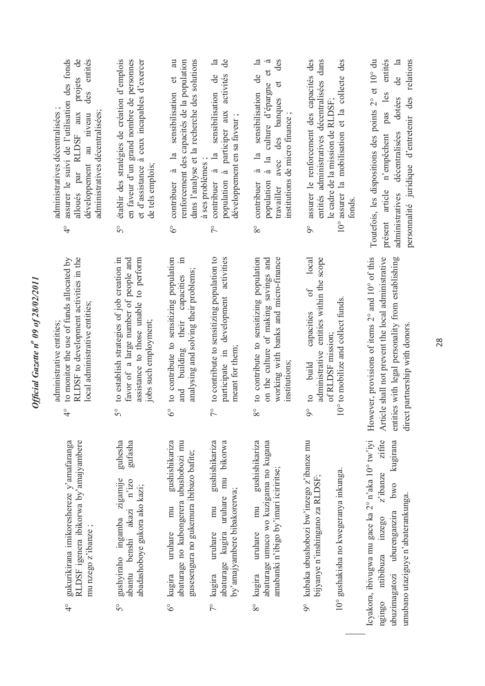| entités<br>projets de<br>assurer le suivi de l'utilisation des fonds<br>des<br>administratives décentralisées;<br>alloués par RLDSF aux<br>administratives décentralisées<br>développement au niveau<br>$\frac{1}{4}$ | établir des stratégies de création d'emplois<br>en faveur d'un grand nombre de personnes<br>et d'assistance à ceux incapables d'exercer<br>de tels emplois;<br>$\tilde{5}^{\circ}$ | dans l'analyse et la recherche des solutions<br>a<br>renforcement des capacités de la population<br>$\sigma$<br>contribuer à la sensibilisation<br>$\delta^{\circ}$ | $\mathbf{d}$ e<br>$\mathbb{R}$<br>population à participer aux activités<br>contribuer à la sensibilisation de<br>développement en sa faveur;<br>à ses problèmes;<br>$\zeta$ | $\mathbb{Z}$<br>des<br>$\tilde{\sigma}$<br>$\sigma$<br>ප්<br>đ<br>à la culture d'épargne<br>à la sensibilisation<br>des banques<br>institutions de micro finance;<br>avec<br>population<br>contribuer<br>travailler<br>$8^{\circ}$ | assurer le renforcement des capacités des<br>entités administratives décentralisées dans<br>10° assurer la mobilisation et la collecte des<br>le cadre de la mission de RLDSF;<br>tonds<br>$\overline{9}^{\circ}$ | entités<br>de la<br>Toutefois, les dispositions des points 2° et 10° du<br>relations<br>pas les<br>personnalité juridique d'entretenir des<br>dotées<br>décentralisées<br>n'empêchent<br>présent article<br>administratives |
|-----------------------------------------------------------------------------------------------------------------------------------------------------------------------------------------------------------------------|------------------------------------------------------------------------------------------------------------------------------------------------------------------------------------|---------------------------------------------------------------------------------------------------------------------------------------------------------------------|-----------------------------------------------------------------------------------------------------------------------------------------------------------------------------|------------------------------------------------------------------------------------------------------------------------------------------------------------------------------------------------------------------------------------|-------------------------------------------------------------------------------------------------------------------------------------------------------------------------------------------------------------------|-----------------------------------------------------------------------------------------------------------------------------------------------------------------------------------------------------------------------------|
| RLDSF to development activities in the<br>to monitor the use of funds allocated by<br>local administrative entities;<br>administrative entities;<br>$\frac{1}{4}$                                                     | to establish strategies of job creation in<br>favor of a large number of people and<br>assistance to those unable to perform<br>jobs such employment;<br>50                        | to contribute to sensitizing population<br>and building their capacities in<br>analysing and solving their problems;<br>$6^\circ$                                   | to contribute to sensitizing population to<br>participate in development activities<br>meant for them;<br>$7^{\circ}$                                                       | working with banks and micro-finance<br>to contribute to sensitizing population<br>on the culture of making savings and<br>institutions;<br>$8^{\circ}$                                                                            | local<br>administrative entities within the scope<br>$\sigma$<br>10° to mobilize and collect funds.<br>capacities<br>of RLDSF mission:<br>build<br>$9^{\circ}$ to                                                 | However, provisions of items 2° and 10° of this<br>Article shall not prevent the local administrative<br>entities with legal personality from establishing<br>direct partnership with donors.                               |
| RLDSF igenera ibikorwa by'amajyambere<br>gukurikirana imikoreshereze y'amafaranga<br>mu nzego z'ibanze;<br>$\frac{6}{4}$                                                                                              | gufasha<br>guhesha<br>gushyiraho ingamba zigamije abantu benshi akazi n'izo<br>abadashoboye gukora ako kazi;<br>$\mathcal{S}^{\circ}$                                              | gushishikariza<br>abaturage no kubongerera ubushobozi mu<br>gusesengura no gukemura ibibazo bafite;<br>mu<br>uruhare<br>kugira<br>ಹಿ                                | gushishikariza<br>abaturage kugira uruhare mu bikorwa<br>by'amajyambere bibakorerwa;<br>mu<br>uruhare<br>kugira<br>$\zeta$                                                  | gushishikariza<br>abaturage umuco wo kuzigama no kugana<br>amabanki n'ibigo by'imari iciriritse;<br>mu<br>uruhare<br>kugira<br>80                                                                                                  | kubaka ubushobozi bw'inzego z'ibanze mu<br>10° gushakisha no kwegeranya inkunga.<br>bijyanye n'inshingano za RLDSF;<br>$\infty$                                                                                   | Icyakora, ibivugwa mu gace ka 2° n'aka 10° tw'iyi<br>zifite<br>kugirana<br>z'ibanze<br>bwo<br>umubano utaziguye n'abaterankunga.<br>ubuzimagatozi uburenganzira<br>ngingo ntibibuza inzego                                  |

Official Gazette nº 09 of 28/02/2011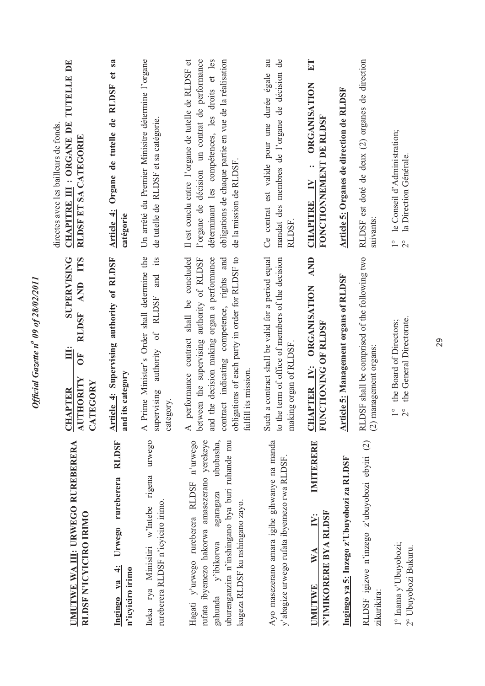| UMUTWE WA III: URWEGO RUREBERERA<br>RLDSF N'ICYICIRO IRIMO                                                                                                                                                                        | TTS<br><b>SUPERVISING</b><br><b>AND</b><br><b>RLDSF</b><br><u>illi</u><br>ð<br><b>AUTHORITY</b><br>TEGORY<br><b>CHAPTER</b><br>$\mathbf{X}$                                                                                                                                                 | <b>CHAPITRE III : ORGANE DE TUTELLE DE</b><br>directes avec les bailleurs de fonds.<br>RLDSF ET SA CATEGORIE                                                                                                                                |
|-----------------------------------------------------------------------------------------------------------------------------------------------------------------------------------------------------------------------------------|---------------------------------------------------------------------------------------------------------------------------------------------------------------------------------------------------------------------------------------------------------------------------------------------|---------------------------------------------------------------------------------------------------------------------------------------------------------------------------------------------------------------------------------------------|
| <b>RLDSF</b><br>Urwego rureberera<br>Ingingo ya 4:<br>n'icyiciro irimo                                                                                                                                                            | Article 4: Supervising authority of RLDSF<br>its category<br>and                                                                                                                                                                                                                            | sa<br>đ<br>Article 4: Organe de tutelle de RLDSF<br>catégorie                                                                                                                                                                               |
| Iteka rya Minisitiri w'Intebe rigena urwego<br>rureberera RLDSF n'icyiciro irimo.                                                                                                                                                 | Prime Minister's Order shall determine the<br>its<br>and<br>authority of RLDSF<br>supervising<br>egory.<br>$\cot$<br>$\overline{A}$ 1                                                                                                                                                       | Un arrêté du Premier Minisitre détermine l'organe<br>de tutelle de RLDSF et sa catégorie.                                                                                                                                                   |
| Hagati y'urwego rureberera RLDSF n'urwego<br>rufata ibyemezo hakorwa amasezerano yerekeye<br>uburenganzira n'inshingano bya buri ruhande mu<br>ububasha,<br>agaragaza<br>kugeza RLDSF ku nshingano zayo.<br>y'ibikorwa<br>gahunda | and the decision making organ a performance<br>performance contract shall be concluded<br>contract indicating competence, rights and<br>igations of each party in order for RLDSF to<br>between the supervising authority of RLDSF<br>fulfill its mission.<br>obli,<br>$\blacktriangleleft$ | déterminant les compétences, les droits et les<br>obligations de chaque partie en vue de la réalisation<br>Il est conclu entre l'organe de tutelle de RLDSF et<br>l'organe de décision un contrat de performance<br>de la mission de RLDSF. |
| Ayo masezerano amara igihe gihwanye na manda<br>y'abagize urwego rufata ibyemezo rwa RLDSF.                                                                                                                                       | Such a contract shall be valid for a period equal<br>to the term of office of members of the decision<br>making organ of RLDSF.                                                                                                                                                             | au<br>$\overline{d}$<br>mandat des membres de l'organe de décision<br>Ce contrat est valide pour une durée égale<br>RLDSF.                                                                                                                  |
| IMITERERE<br>N'IMIKORERE BYA RLDSF<br>$\ddot{P}$<br>$\mathbf{W} \mathbf{A}$<br><b>UMUTWE</b>                                                                                                                                      | AND<br><b>ORGANISATION</b><br>FUNCTIONING OF RLDSF<br>CHAPTER IV:                                                                                                                                                                                                                           | ET<br><b>ORGANISATION</b><br>FONCTIONNEMENT DE RLDSF<br>$\ddot{\cdot}$<br>$\geq$<br><b>CHAPITRE</b>                                                                                                                                         |
| Ingingo ya 5: Inzego z'Ubuyobozi za RLDSF                                                                                                                                                                                         | <b>Article 5: Management organs of RLDSF</b>                                                                                                                                                                                                                                                | Article 5: Organes de direction de RLDSF                                                                                                                                                                                                    |
| RLDSF igizwe n'inzego z'ubuyobozi ebyiri (2)<br>zikurikira:                                                                                                                                                                       | RLDSF shall be comprised of the following two<br>$(2)$ management organs:                                                                                                                                                                                                                   | RLDSF est doté de deux (2) organes de direction<br>suivants:                                                                                                                                                                                |
| 1° Inama y'Ubuyobozi;<br>2° Ubuyobozi Bukuru.                                                                                                                                                                                     | the General Directorate.<br>the Board of Directors;<br>$\frac{1}{2}$<br>$\frac{1}{2}$                                                                                                                                                                                                       | le Conseil d'Administration;<br>la Direction Générale.<br>$\frac{1}{2}$<br>$\overline{C}$                                                                                                                                                   |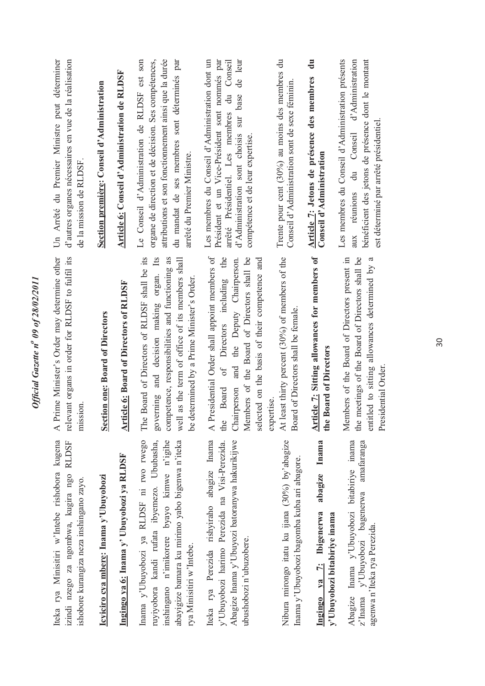| Iteka rya Minisitiri w'Intebe rishobora kugena<br>izindi nzego za ngombwa, kugira ngo RLDSF<br>ishobore kurangiza neza inshingano zayo.                                                                             | relevant organs in order for RLDSF to fulfil its<br>A Prime Minister's Order may determine other<br>mission.                                                                                                                                            | d'autres organes nécessaires en vue de la réalisation<br>Un Arrêté du Premier Ministre peut déterminer<br>de la mission de RLDSF.                                                                                                            |
|---------------------------------------------------------------------------------------------------------------------------------------------------------------------------------------------------------------------|---------------------------------------------------------------------------------------------------------------------------------------------------------------------------------------------------------------------------------------------------------|----------------------------------------------------------------------------------------------------------------------------------------------------------------------------------------------------------------------------------------------|
| Icyiciro cya mbere: Inama y'Ubuyobozi                                                                                                                                                                               | Section one: Board of Directors                                                                                                                                                                                                                         | Section première: Conseil d'Administration                                                                                                                                                                                                   |
| Ingingo ya 6: Inama y' Ubuyobozi ya RLDSF                                                                                                                                                                           | <b>Article 6: Board of Directors of RLDSF</b>                                                                                                                                                                                                           | Article 6: Conseil d'Administration de RLDSF                                                                                                                                                                                                 |
| Inama y'Ubuyobozi ya RLDSF ni rwo rwego<br>ruyiyobora kandi rufata ibyemezo. Ububasha,<br>inshingano n'imikorere byayo kimwe n'igihe<br>abayigize bamara ku mirimo yabo bigenwa n'iteka<br>rya Minisitiri w'Intebe. | Board of Directors of RLDSF shall be its<br>governing and decision making organ. Its<br>competence, responsibilities and functioning as<br>well as the term of office of its members shall<br>be determined by a Prime Minister's Order.<br>The         | Le Conseil d'Administration de RLDSF est son<br>attributions et son fonctionnement ainsi que la durée<br>du mandat de ses membres sont déterminés par<br>organe de direction et de décision. Ses compétences,<br>arrêté du Premier Ministre. |
| Iteka rya Perezida rishyiraho abagize Inama<br>Abagize Inama y'Ubuyozi batoranywa hakurikijwe<br>y'Ubuyobozi harimo Perezida na Visi-Perezida.<br>ubushobozi n'ubuzobere.                                           | A Presidential Order shall appoint members of<br>Directors including the<br>Members of the Board of Directors shall be<br>Chairperson and the Deputy Chairperson.<br>selected on the basis of their competence and<br>$\sigma f$<br><b>Board</b><br>the | arrêté Présidentiel. Les membres du Conseil<br>Les membres du Conseil d'Administration dont un<br>de leur<br>Président et un Vice-Président sont nommés par<br>sur base<br>d'Administration sont choisis<br>compétence et de leur expertise. |
| Nibura mirongo itatu ku ijana (30%) by'abagize<br>Inama y'Ubuyobozi bagomba kuba ari abagore.                                                                                                                       | least thirty percent (30%) of members of the<br>Board of Directors shall be female.<br>expertise.<br>At1                                                                                                                                                | Trente pour cent $(30\%)$ au moins des membres du<br>Conseil d'Administration sont de sexe féminin                                                                                                                                           |
| abagize Inama<br>Ingingo ya 7: Ibigenerwa<br>y'Ubuyobozi bitabiriye inama                                                                                                                                           | Article 7: Sitting allowances for members of<br>the Board of Directors                                                                                                                                                                                  | ā<br>Article 7: Jetons de présence des membres<br>Conseil d'Administration                                                                                                                                                                   |
| Abagize Inama y'Ubuyobozi bitabiriye inama<br>amafaranga<br>bagenerwa<br>agenwa n'Iteka rya Perezida.<br>z'Inama y'Ubuyobozi                                                                                        | Members of the Board of Directors present in<br>the meetings of the Board of Directors shall be<br>entitled to sitting allowances determined by a<br>Presidential Order.                                                                                | bénéficient des jetons de présence dont le montant<br>Les membres du Conseil d'Administration présents<br>d'Administration<br>est déterminé par arrêté présidentiel.<br>Conseil<br>$\ddot{=}$<br>aux réunions                                |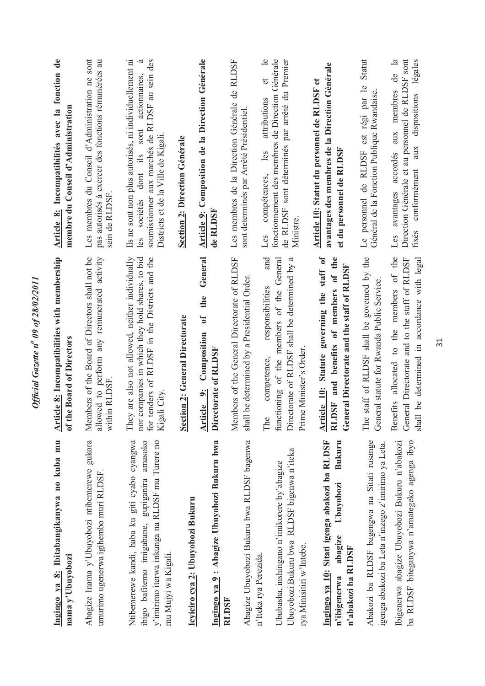| Ingingo ya 8: Ibitabangikanywa no kuba mu<br>nama y'Ubuyobozi                                                                                                             | Article 8: Incompatibilities with membership<br>of the Board of Directors                                                                                            | Article 8: Incompatibilités avec la fonction de<br>membre du Conseil d'Administration                                                                                                                         |
|---------------------------------------------------------------------------------------------------------------------------------------------------------------------------|----------------------------------------------------------------------------------------------------------------------------------------------------------------------|---------------------------------------------------------------------------------------------------------------------------------------------------------------------------------------------------------------|
| Abagize Inama y'Ubuyobozi ntibemerewe gukora<br>umurimo ugenerwa igihembo muri RLDSF.                                                                                     | Members of the Board of Directors shall not be<br>allowed to perform any remunerated activity<br>within RLDSF                                                        | Les membres du Conseil d'Administration ne sont<br>pas autorisés à exercer des fonctions rémunérées au<br>sein de RLDSF                                                                                       |
| Ntibemerewe kandi, haba ku giti cyabo cyangwa<br>gupiganira amasoko<br>y'imirimo iterwa inkunga na RLDSF mu Turere no<br>ibigo bafitemo imigabane,<br>mu Mujyi wa Kigali. | nor companies in which they hold shares, to bid<br>for tenders of RLDSF in the Districts and the<br>They are also not allowed, neither individually<br>Kigali City.  | Ils ne sont non plus autorisés, ni individuellement ni<br>.ದ<br>soumissionner aux marchés de RLDSF au sein des<br>actionnaires,<br>sont<br>Districts et de la Ville de Kigali.<br>dont ils<br>sociétés<br>les |
| Icyiciro cya 2: Ubuyobozi Bukuru                                                                                                                                          | Section 2: General Directorate                                                                                                                                       | Section 2: Direction Générale                                                                                                                                                                                 |
| Ingingo ya 9 : Abagize Ubuyobozi Bukuru bwa                                                                                                                               | General<br>the<br>$\mathfrak{h}$<br>Composition<br>Directorate of RLDSF<br>Article 9:                                                                                | Article 9: Composition de la Direction Générale<br>de RLDSF                                                                                                                                                   |
| Abagize Ubuyobozi Bukuru bwa RLDSF bagenwa<br>RLDSF                                                                                                                       | Members of the General Directorate of RLDSF<br>shall be determined by a Presidential Order.                                                                          | Les membres de la Direction Générale de RLDSF<br>sont determinés par Arrêté Présidentiel.                                                                                                                     |
| Ubuyobozi Bukuru bwa RLDSF bigenwa n'iteka<br>Ububasha, inshingano n'imikorere by'abagize<br>rya Minisitiri w'Intebe.<br>n'Iteka rya Perezida.                            | and<br>functioning of the members of the General<br>Directorate of RLDSF shall be determined by a<br>responsibilities<br>Prime Minister's Order.<br>competence,<br>É | $\overline{e}$<br>fonctionnement des membres de Direction Générale<br>de RLDSF sont déterminés par arrêté du Premier<br>$\sigma$<br>attributions<br>compétences, les<br>Ministre.<br>Les                      |
| Ingingo ya 10: Sitati igenga abakozi ba RLDSF<br>Bukuru<br>Ubuyobozi<br>abagize<br>n'abakozi ba RLDSF<br>n'ibigenerwa                                                     | Statute governing the staff of<br>and benefits of members of the<br>General Directorate and the staff of RLDSF<br>Article 10:<br><b>RLDSF</b>                        | avantages des membres de la Direction Générale<br>Article 10: Statut du personnel de RLDSF et<br>et du personnel de RLDSF                                                                                     |
| Abakozi ba RLDSF bagengwa na Sitati rusange<br>igenga abakozi ba Leta n'inzego z'imirimo ya Leta.                                                                         | The staff of RLDSF shall be governed by the<br>General statute for Rwanda Public Service.                                                                            | Statut<br>Le personnel de RLDSF est régi par le<br>Général de la Fonction Publique Rwandaise.                                                                                                                 |
| ba RLDSF biteganywa n'amategeko agenga ibyo<br>Ibigenerwa abagize Ubuyobozi Bukuru n'abakozi                                                                              | allocated to the members of the<br>General Directorate and to the staff of RLDSF<br>shall be determined in accordance with legal<br>Benefits                         | $\overline{\mathbf{a}}$<br>Direction Générale et au personnel de RLDSF sont<br>légales<br>$\ddot{d}$<br>avantages accordés aux membres<br>aux dispositions<br>conformément<br>fixés<br>Les                    |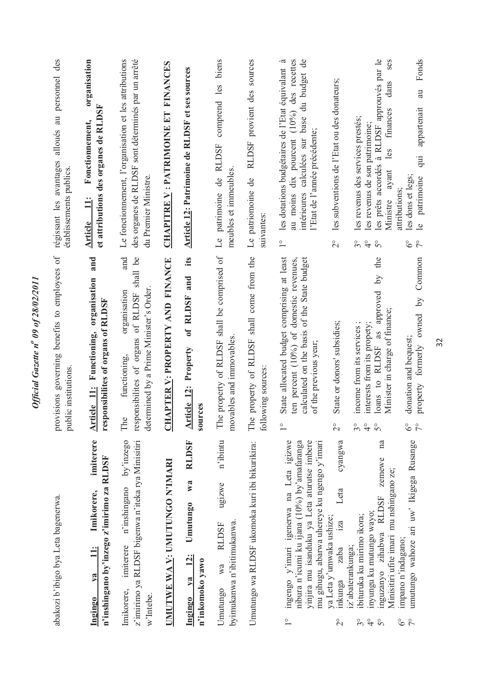| abakozi b'ibigo bya Leta bagenerwa.                                                                                                                                                                                                   | provisions governing benefits to employees of<br>public institutions.                                                                                                                              | alloués au personnel des<br>régissant les avantages<br>établissements publics.                                                                                                                                                    |
|---------------------------------------------------------------------------------------------------------------------------------------------------------------------------------------------------------------------------------------|----------------------------------------------------------------------------------------------------------------------------------------------------------------------------------------------------|-----------------------------------------------------------------------------------------------------------------------------------------------------------------------------------------------------------------------------------|
| imiterere<br>n'inshingano by'inzego z'imirimo za RLDSF<br>Imikorere,<br>$\ddot{=}$<br>$1$<br>Ingingo                                                                                                                                  | and<br>Functioning, organisation<br>responsibilites of organs of RLDSF<br><b>Article 11:</b>                                                                                                       | organisation<br>et attributions des organes de RLDSF<br>Fonctionnement,<br>$\Xi$<br><b>Article</b>                                                                                                                                |
| by'inzego<br>z'imirimo ya RLDSF bigenwa n'iteka rya Minisitiri<br>n'inshingano<br>imiterere<br>Imikorere,<br>w'Intebe.                                                                                                                | shall be<br>and<br>determined by a Prime Minister's Order<br>of RLDSF<br>organisation<br>responsibilites of organs<br>functioning,<br>$\circ$<br>É                                                 | des organes de RLDSF sont déterminés par un arrêté<br>Le fonctionnement, l'organisation et les attributions<br>du Premier Ministre.                                                                                               |
| UMUTWE WA V: UMUTUNGO N'IMARI                                                                                                                                                                                                         | <b>FINANCE</b><br><b>HAPTER V: PROPERTY AND</b><br>ö                                                                                                                                               | CHAPITRE V : PATRIMOINE ET FINANCES                                                                                                                                                                                               |
| <b>RLDSF</b><br>W2<br><b>Umutungo</b><br>$\frac{12}{3}$<br>n'inkomoko yawo<br>$1$<br>Ingingo                                                                                                                                          | its<br>and<br>of RLDSF<br><b>Article 12: Property</b><br>sources                                                                                                                                   | Article 12: Patrimoine de RLDSF et ses sources                                                                                                                                                                                    |
| n'ibintu<br>ugizwe<br>byimukanwa n'ibitimukanwa.<br><b>RLDSF</b><br>wa<br>Umutungo                                                                                                                                                    | The property of RLDSF shall be comprised of<br>movables and immovables                                                                                                                             | biens<br>comprend les<br><b>RLDSF</b><br>meubles et immeubles.<br>de<br>Le patrimoine                                                                                                                                             |
| Umutungo wa RLDSF ukomoka kuri ibi bikurikira:                                                                                                                                                                                        | e property of RLDSF shall come from the<br>following sources:<br>É                                                                                                                                 | RLDSF provient des sources<br>Le patriomoine de<br>suivantes:                                                                                                                                                                     |
| ingengo y'imari igenerwa na Leta igizwe<br>yinjira mu isanduku ya Leta aturutse imbere<br>nibura n'icumi ku ijana (10%) by amafaranga<br>mu gihugu, abarwa uhereye ku ngengo y'imari<br>$\frac{1}{\sqrt{2}}$                          | State allocated budget comprising at least<br>ten percent (10%) of domestic revenues,<br>calculated on the basis of the State budget<br>of the previous year;<br>$\frac{1}{1}$                     | .ದ<br>au moins dix pourcent (10%) des recettes<br>intérieures calculées sur base du budget de<br>les dotations budgétaires de l'Etat équivalant<br>l'Etat de l'année précédente;<br>$\overset{\circ}{\phantom{0}}$                |
| cyangwa<br>Leta<br>ya Leta y'umwaka ushize;<br>iza<br>zaba<br>inkunga<br>$\overline{c}$                                                                                                                                               | State or donors' subsidies;<br>$\frac{1}{2}$                                                                                                                                                       | les subventions de l'Etat ou des donateurs;<br>$\overline{\mathcal{C}}$                                                                                                                                                           |
| na<br>zemewe<br>Minisitiri ufite imari mu nshingano ze;<br><b>RLDSF</b><br>inyungu ku mutungo wayo;<br>ibituruka ku mirimo ikora;<br>inguzanyo zihabwa<br>iz'abaterankunga;<br>$3^{\circ}$<br>$\frac{1}{4}$<br>$\overline{5}^{\circ}$ | the<br>$\overline{S}$<br>as approved<br>Minister in charge of finance;<br>interests from its propety;<br>income from its services<br>loans to RLDSF<br>$3^{\circ}$<br>$\frac{1}{4}$<br>$5^{\circ}$ | les prêts accordés à RLDSF approuvés par le<br>ses<br>dans<br>finances<br>les revenus des services prestés;<br>les revenus de son patrimoine;<br>les<br>ayant<br>Ministre<br>$3^{\circ}$<br>$\frac{1}{4}$<br>$\mathsf{S}^{\circ}$ |
| umutungo wahoze ari uw' Ikigega Rusange<br>impano n'indagano;<br>$\delta^{\circ}$<br>$\zeta$                                                                                                                                          | Common<br>$\overline{S}$<br>property formerly owned<br>donation and bequest;<br>$6^\circ$<br>$7^{\circ}$                                                                                           | Fonds<br>$a_{1}$<br>appartenait<br>qui<br>les dons et legs;<br>le patrimoine<br>attributions;<br>$\delta^{\circ}$<br>$\tilde{7}^{\circ}$                                                                                          |

Official Gazette nº 09 of 28/02/2011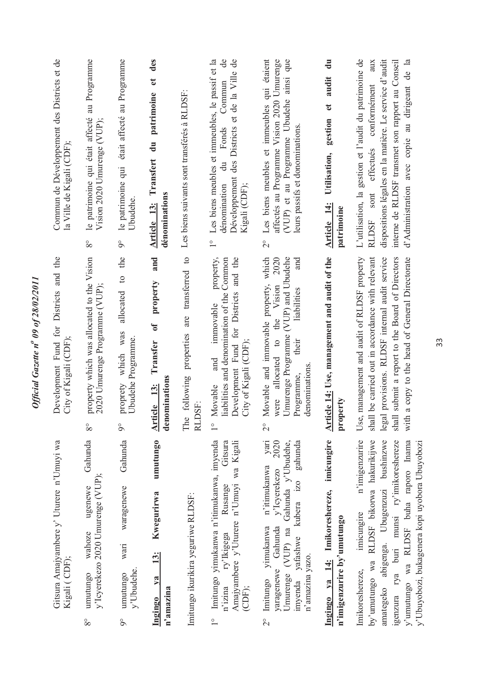| Gitsura Amajyambere y' Uturere n'Umuyi wa<br>Kigali (CDF);                                                                                                                                                                                                                        | Development Fund for Districts and the<br>City of Kigali (CDF)                                                                                                                                                                                            | Commun de Développement des Districts et de<br>la Ville de Kigali (CDF);                                                                                                                                                                                                          |
|-----------------------------------------------------------------------------------------------------------------------------------------------------------------------------------------------------------------------------------------------------------------------------------|-----------------------------------------------------------------------------------------------------------------------------------------------------------------------------------------------------------------------------------------------------------|-----------------------------------------------------------------------------------------------------------------------------------------------------------------------------------------------------------------------------------------------------------------------------------|
| Gahunda<br>y'Icyerekezo 2020 Umurenge (VUP);<br>ugenewe<br>wahoze<br>umutungo<br>$8^{\circ}$                                                                                                                                                                                      | property which was allocated to the Vision<br>2020 Umurenge Programme (VUP);<br>$8^{\circ}$                                                                                                                                                               | le patrimoine qui était affecté au Programme<br>Vision 2020 Umurenge (VUP);<br>$8^{\circ}$                                                                                                                                                                                        |
| Gahunda<br>waragenewe<br>wari<br>y'Ubudehe.<br>umutungo<br>$\delta$                                                                                                                                                                                                               | the<br>$\circ$<br>allocated<br>which was<br>Ubudehe Programme.<br>proprety<br>$\delta$                                                                                                                                                                    | était affecté au Programme<br>le patrimoine qui<br>Ubudehe.<br>$\delta$                                                                                                                                                                                                           |
| umutungo<br><b>Kwegurirwa</b><br>13:<br>va<br>n'amazina<br>Ingingo                                                                                                                                                                                                                | and<br>property<br>$\sigma$<br>Transfer<br>denominations<br>Article 13:                                                                                                                                                                                   | des<br>đ<br>patrimoine<br>$\ddot{a}$<br>Transfert<br>dénominations<br>Article 13:                                                                                                                                                                                                 |
| Imitungo ikurikira yeguriwe RLDSF:                                                                                                                                                                                                                                                | following properties are transferred to<br>DSF:<br>The<br>ELI                                                                                                                                                                                             | Les biens suivants sont transférés à RLDSF:                                                                                                                                                                                                                                       |
| Imitungo yimukanwa n'itimukanwa, imyenda<br>Gitsura<br>Amajyambere y'Uturere n'Umuyi wa Kigali<br>Rusange<br>ry'Ikigega<br>n'izina<br>(CDF);<br>$\frac{1}{\sqrt{2}}$                                                                                                              | property,<br>and the<br>liabilities and denomination of the Common<br>Development Fund for Districts<br>immovable<br>City of Kigali (CDF);<br>and<br>Movable<br>$\frac{0}{1}$                                                                             | Développement des Districts et de la Ville de<br>Les biens meubles et immeubles, le passif et la<br>$\theta$<br>Commun<br>Fonds<br>$\vec{a}$<br>dénomination<br>Kigali (CDF);<br>$\frac{1}{1}$                                                                                    |
| yari<br>2020<br>gahunda<br>Gahunda y'Ubudehe,<br>n'itimukanwa<br>y'Icyerekezo<br>yafashwe kubera izo<br>yimukanwa<br>Gahunda<br>(VUP) na<br>n'amazina yazo.<br>yaragenewe<br>Umurenge<br>Imitungo<br>imyenda<br>$\overline{C}$                                                    | Movable and immovable property, which<br>Umurenge Programme (VUP) and Ubudehe<br>2020<br>and<br>Vision<br>liabilities<br>the<br>$\circ$<br>their<br>allocated<br>denominations<br>Programme,<br>were<br>$\frac{1}{2}$                                     | qui étaient<br>(VUP) et au Programme Ubudehe ainsi que<br>affectés au Programme Vision 2020 Umurenge<br>Les biens meubles et immeubles<br>leurs passifs et donominations.<br>$\overline{\mathcal{C}}$                                                                             |
| Ingingo ya 14: Imikoreshereze, imicungire<br>n'imigenzurire by'umutungo                                                                                                                                                                                                           | Article 14: Use, management and audit of the<br>perty<br>pro                                                                                                                                                                                              | $\frac{1}{2}$<br>audit<br>$\mathbf{e}$<br>gestion<br>Utilisation,<br>Article 14:<br>patrimoine                                                                                                                                                                                    |
| n'imigenzurire<br>by'umutungo wa RLDSF bikorwa hakurikijwe<br>abigenga. Ubugenzuzi bushinzwe<br>genzura rya buri munsi ry'imikoreshereze<br>y'umutungo wa RLDSF buha raporo Inama<br>y'Ubuyobozi, bukagenera kopi uyobora Ubuyobozi<br>imicungire<br>Imikoreshereze,<br>amategeko | shall be carried out in accordance with relevant<br>shall submit a report to the Board of Directors<br>a copy to the head of General Directorate<br>Use, management and audit of RLDSF property<br>legal provisions. RLDSF internal audit service<br>with | L'utilisation, la gestion et l'audit du patrimoine de<br>dispositions légales en la matière. Le service d'audit<br>d'Administration avec copie au dirigeant de la<br>interne de RLDSF transmet son rapport au Conseil<br>aux<br>conformément<br>effectués<br>sont<br><b>RLDSF</b> |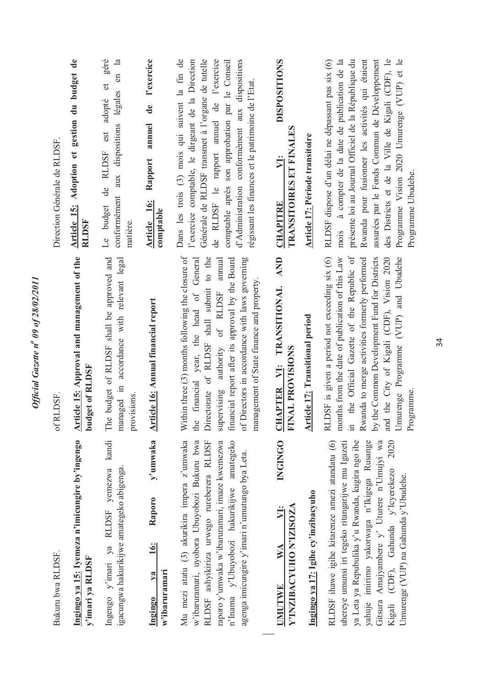| Bukuru bwa RLDSF.                                                                                                                                                                                                                                                                                                                         | of RLDSF.                                                                                                                                                                                                                                                                                                                                               | Direction Générale de RLDSF.                                                                                                                                                                                                                                                                                                                                                            |
|-------------------------------------------------------------------------------------------------------------------------------------------------------------------------------------------------------------------------------------------------------------------------------------------------------------------------------------------|---------------------------------------------------------------------------------------------------------------------------------------------------------------------------------------------------------------------------------------------------------------------------------------------------------------------------------------------------------|-----------------------------------------------------------------------------------------------------------------------------------------------------------------------------------------------------------------------------------------------------------------------------------------------------------------------------------------------------------------------------------------|
| Ingingo ya 15: Iyemeza n'imicungire by'ingengo<br>y'imari ya RLDSF                                                                                                                                                                                                                                                                        | Article 15: Approval and management of the<br>budget of RLDSF                                                                                                                                                                                                                                                                                           | Article 15: Adoption et gestion du budget de<br><b>RLDSF</b>                                                                                                                                                                                                                                                                                                                            |
| Ingengo y'imari ya RLDSF yemezwa kandi<br>igacungwa hakurikijwe amategeko abigenga.                                                                                                                                                                                                                                                       | The budget of RLDSF shall be approved and<br>managed in accordance with relevant legal<br>provisions.                                                                                                                                                                                                                                                   | et géré<br>en la<br>aux dispositions légales<br>de RLDSF est adopté<br>conformément<br>Le budget<br>matière.                                                                                                                                                                                                                                                                            |
| y'umwaka<br>Raporo<br>$\frac{16}{3}$<br>w'ibaruramari<br>$1$<br>Ingingo                                                                                                                                                                                                                                                                   | <b>Article 16: Annual financial report</b>                                                                                                                                                                                                                                                                                                              | l'exercice<br>$\mathbf{d}\mathbf{e}$<br>annuel<br>Rapport<br>Article 16:<br>comptable                                                                                                                                                                                                                                                                                                   |
| Mu mezi atatu (3) akurikira impera z'umwaka<br>w'ibaruramari, uyobora Ubuyobozi Bukuru bwa<br>n'Inama y'Ubuyobozi hakurikijwe amategeko<br>RLDSF ashyikiriza urwego rureberera RLDSF<br>raporo y'umwaka w'ibaruramari, imaze kwemezwa<br>agenga imicungire y'imari n'umutungo bya Leta.                                                   | Within three (3) months following the closure of<br>Directorate of RLDSF shall submit to the<br>financial year, the head of General<br>financial report after its approval by the Board<br>of Directors in accordance with laws governing<br>supervising authority of RLDSF annual<br>management of State finance and property.<br>the                  | Dans les trois (3) mois qui suivent la fin de<br>Générale de RLDSF transmet à l'organe de tutelle<br>de RLDSF le rapport annuel de l'exercice<br>l'exercice comptable, le dirgeant de la Direction<br>comptable après son approbation par le Conseil<br>d'Administration conformément aux dispositions<br>régissant les finances et le patrimoine de l'Etat.                            |
| INGINGO<br>Y'INZIBACYUHO N'IZISOZA<br>ÿ.<br>$\mathbb{W} \mathbb{A}$<br><b>UMUTWE</b>                                                                                                                                                                                                                                                      | AND<br>CHAPTER VI: TRANSITIONAL<br>FINAL PROVISIONS                                                                                                                                                                                                                                                                                                     | <b>DISPOSITIONS</b><br>TRANSITOIRES ET FINALES<br>$\overline{y}$<br><b>CHAPITRE</b>                                                                                                                                                                                                                                                                                                     |
| Ingingo ya 17: Igihe cy'inzibacyuho                                                                                                                                                                                                                                                                                                       | <b>Article 17: Transitional period</b>                                                                                                                                                                                                                                                                                                                  | Article 17: Période transitoire                                                                                                                                                                                                                                                                                                                                                         |
| RLDSF ihawe igihe kitarenze amezi atandatu (6)<br>ya Leta ya Repubulika y'u Rwanda, kugira ngo ibe<br>yahuje imirimo yakorwaga n'Ikigega Rusange<br>Gitsura Amajyambere y' Uturere n'Umujyi wa<br>2020<br>uhereye umunsi iri tegeko ritangarijwe mu Igazeti<br>Kigali (CDF), Gahunda y'lcyerekezo<br>Umurenge (VUP) na Gahunda y'Ubudehe. | the Official Gazette of the Republic of<br>Umurenge Programme (VUP) and Ubudehe<br>by the Common Development Fund for Districts<br>RLDSF is given a period not exceeding six (6)<br>months from the date of publication of this Law<br>Rwanda to merge activities formerly performed<br>and the City of Kigali (CDF), Vision 2020<br>Programme<br>$\Xi$ | assurées par le Fonds Commun de Développement<br>présente loi au Journal Officiel de la République du<br>des Districts et de la Ville de Kigali (CDF), le<br>Programme Vision 2020 Umurenge (VUP) et le<br>mois à compter de la date de publication de la<br>Rwanda pour fusionner les activités qui étaient<br>RLDSF dispose d'un délai ne dépassant pas six (6)<br>Programme Ubudehe. |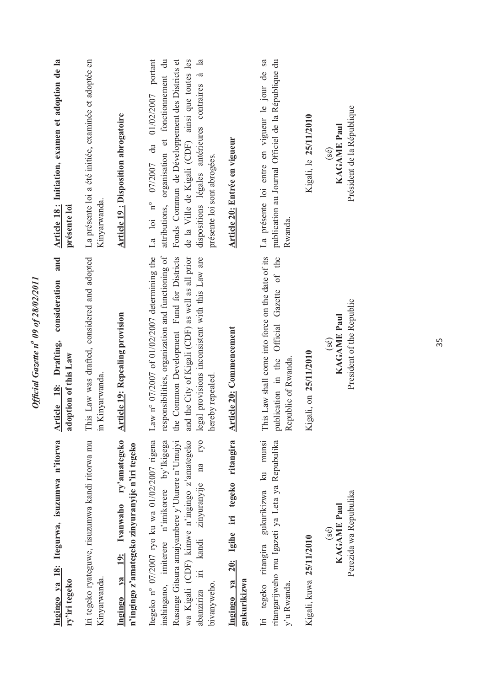| Ingingo ya 18: Itegurwa, isuzumwa n'itorwa<br>ry'iri tegeko                                                                                                                                                                  | and<br>consideration<br>Article 18: Drafting,<br>adoption of this Law                                                                                                                                                                                                                                    | Article 18: Initiation, examen et adoption de la<br>présente loi                                                                                                                                                                                                                                                   |
|------------------------------------------------------------------------------------------------------------------------------------------------------------------------------------------------------------------------------|----------------------------------------------------------------------------------------------------------------------------------------------------------------------------------------------------------------------------------------------------------------------------------------------------------|--------------------------------------------------------------------------------------------------------------------------------------------------------------------------------------------------------------------------------------------------------------------------------------------------------------------|
| Iri tegeko ryateguwe, risuzumwa kandi ritorwa mu<br>Kinyarwanda.                                                                                                                                                             | This Law was drafted, considered and adopted<br>in Kinyarwanda.                                                                                                                                                                                                                                          | La présente loi a été initiée, examinée et adoptée en<br>Kinyarwanda.                                                                                                                                                                                                                                              |
| Ivanwaho ry'amategeko<br>n'ingingo z'amategeko zinyuranyije n'iri tegeko<br>Ingingo ya 19:                                                                                                                                   | <b>Article 19: Repealing provision</b>                                                                                                                                                                                                                                                                   | <b>Article 19: Disposition abrogatoire</b>                                                                                                                                                                                                                                                                         |
| Itegeko nº 07/2007 ryo ku wa 01/02/2007 rigena<br>wa Kigali (CDF) kimwe n'ingingo z'amategeko<br>Rusange Gitsura amajyambere y'Uturere n'Umujyi<br>inshingano, imiterere n'imikorere by'Ikigega<br>bivanyweho.<br>abanziriza | Law n° 07/2007 of 01/02/2007 determining the<br>responsibilities, organization and functioning of<br>the Common Development Fund for Districts<br>and the City of Kigali (CDF) as well as all prior<br>iri kandi zinyuranyije na ryo legal provisions inconsistent with this Law are<br>hereby repealed. | portant<br>Fonds Commun de Développement des Districts et<br>de la Ville de Kigali (CDF) ainsi que toutes les<br>$\overline{a}$ la<br>attributions, organisation et fonctionnement du<br>dispositions légales antérieures contraires<br>du 01/02/2007<br>présente loi sont abrogées.<br>La loi $n^{\circ}$ 07/2007 |
| 20: Igihe iri tegeko ritangira<br>Ingingo ya<br>gukurikizwa                                                                                                                                                                  | <b>Article 20: Commencement</b>                                                                                                                                                                                                                                                                          | Article 20: Entrée en vigueur                                                                                                                                                                                                                                                                                      |
| Iri tegeko ritangira gukurikizwa ku munsi<br>ritangarijweho mu Igazeti ya Leta ya Repubulika<br>y'u Rwanda.                                                                                                                  | This Law shall come into force on the date of its<br>Official Gazette of the<br>publication in the<br>Republic of Rwanda                                                                                                                                                                                 | sa<br>publication au Journal Officiel de la République du<br>La présente loi entre en vigueur le jour de<br>Rwanda.                                                                                                                                                                                                |
| Kigali, kuwa 25/11/2010                                                                                                                                                                                                      | Kigali, on 25/11/2010                                                                                                                                                                                                                                                                                    | Kigali, le 25/11/2010                                                                                                                                                                                                                                                                                              |
| Perezida wa Repubulika<br><b>KAGAME Paul</b><br>(se)                                                                                                                                                                         | President of the Republic<br><b>KAGAME Paul</b><br>(se)                                                                                                                                                                                                                                                  | Président de la République<br><b>KAGAME Paul</b><br>$($ sé $)$                                                                                                                                                                                                                                                     |